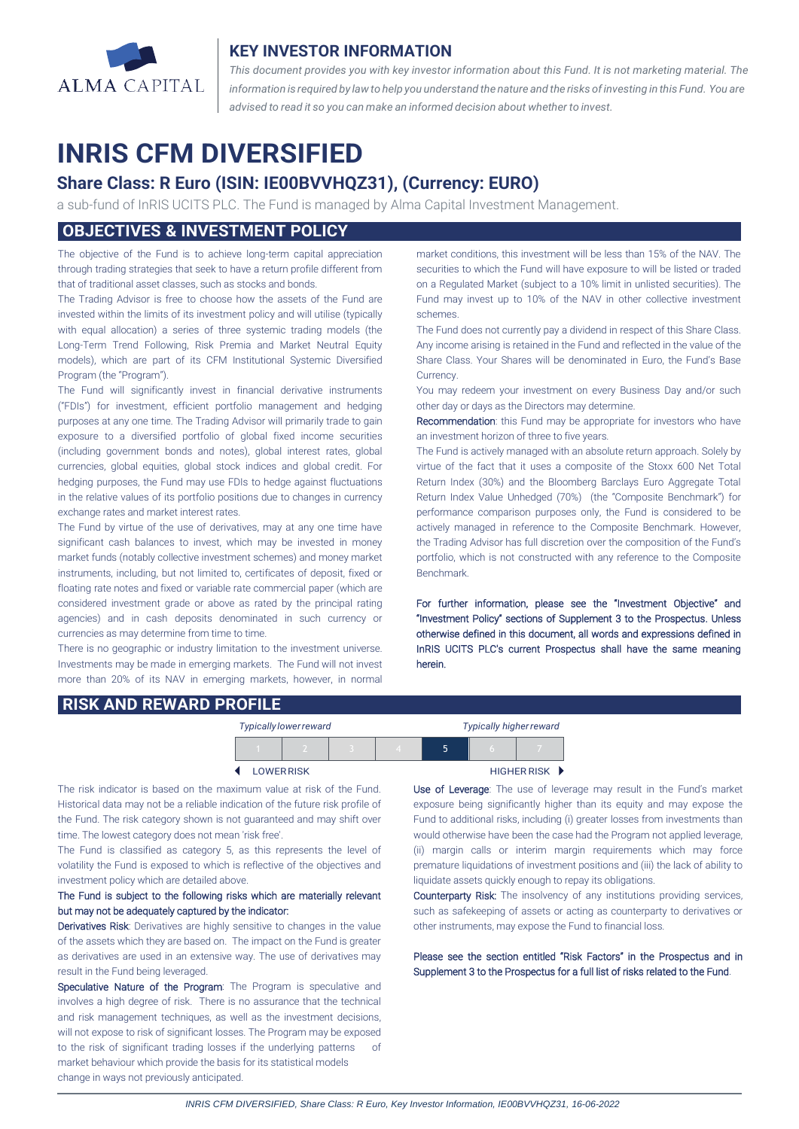

### **KEY INVESTOR INFORMATION**

*This document provides you with key investor information about this Fund. It is not marketing material. The* information is required by law to help you understand the nature and the risks of investing in this Fund. You are *advised to read it so you can make an informed decision about whether to invest.*

# **INRIS CFM DIVERSIFIED**

# **Share Class: R Euro (ISIN: IE00BVVHQZ31), (Currency: EURO)**

a sub-fund of InRIS UCITS PLC. The Fund is managed by Alma Capital Investment Management.

# **OBJECTIVES & INVESTMENT POLICY**

The objective of the Fund is to achieve long-term capital appreciation through trading strategies that seek to have a return profile different from that of traditional asset classes, such as stocks and bonds.

The Trading Advisor is free to choose how the assets of the Fund are invested within the limits of its investment policy and will utilise (typically with equal allocation) a series of three systemic trading models (the Long-Term Trend Following, Risk Premia and Market Neutral Equity models), which are part of its CFM Institutional Systemic Diversified Program (the "Program").

The Fund will significantly invest in financial derivative instruments ("FDIs") for investment, efficient portfolio management and hedging purposes at any one time. The Trading Advisor will primarily trade to gain exposure to a diversified portfolio of global fixed income securities (including government bonds and notes), global interest rates, global currencies, global equities, global stock indices and global credit. For hedging purposes, the Fund may use FDIs to hedge against fluctuations in the relative values of its portfolio positions due to changes in currency exchange rates and market interest rates.

The Fund by virtue of the use of derivatives, may at any one time have significant cash balances to invest, which may be invested in money market funds (notably collective investment schemes) and money market instruments, including, but not limited to, certificates of deposit, fixed or floating rate notes and fixed or variable rate commercial paper (which are considered investment grade or above as rated by the principal rating agencies) and in cash deposits denominated in such currency or currencies as may determine from time to time.

There is no geographic or industry limitation to the investment universe. Investments may be made in emerging markets. The Fund will not invest more than 20% of its NAV in emerging markets, however, in normal market conditions, this investment will be less than 15% of the NAV. The securities to which the Fund will have exposure to will be listed or traded on a Regulated Market (subject to a 10% limit in unlisted securities). The Fund may invest up to 10% of the NAV in other collective investment schemes.

The Fund does not currently pay a dividend in respect of this Share Class. Any income arising is retained in the Fund and reflected in the value of the Share Class. Your Shares will be denominated in Euro, the Fund's Base Currency.

You may redeem your investment on every Business Day and/or such other day or days as the Directors may determine.

Recommendation: this Fund may be appropriate for investors who have an investment horizon of three to five years.

The Fund is actively managed with an absolute return approach. Solely by virtue of the fact that it uses a composite of the Stoxx 600 Net Total Return Index (30%) and the Bloomberg Barclays Euro Aggregate Total Return Index Value Unhedged (70%) (the "Composite Benchmark") for performance comparison purposes only, the Fund is considered to be actively managed in reference to the Composite Benchmark. However, the Trading Advisor has full discretion over the composition of the Fund's portfolio, which is not constructed with any reference to the Composite Benchmark.

For further information, please see the "Investment Objective" and "Investment Policy" sections of Supplement 3 to the Prospectus. Unless otherwise defined in this document, all words and expressions defined in InRIS UCITS PLC's current Prospectus shall have the same meaning herein.

#### **RISK AND REWARD PROFILE**

| <b>Typically lower reward</b> |  |  |  |  | <b>Typically higher reward</b> |                                   |  |
|-------------------------------|--|--|--|--|--------------------------------|-----------------------------------|--|
|                               |  |  |  |  | 5                              |                                   |  |
| <b>LOWER RISK</b>             |  |  |  |  |                                | HIGHER RISK $\blacktriangleright$ |  |

The risk indicator is based on the maximum value at risk of the Fund. Historical data may not be a reliable indication of the future risk profile of the Fund. The risk category shown is not guaranteed and may shift over time. The lowest category does not mean 'risk free'.

The Fund is classified as category 5, as this represents the level of volatility the Fund is exposed to which is reflective of the objectives and investment policy which are detailed above.

#### The Fund is subject to the following risks which are materially relevant but may not be adequately captured by the indicator:

Derivatives Risk: Derivatives are highly sensitive to changes in the value of the assets which they are based on. The impact on the Fund is greater as derivatives are used in an extensive way. The use of derivatives may result in the Fund being leveraged.

Speculative Nature of the Program: The Program is speculative and involves a high degree of risk. There is no assurance that the technical and risk management techniques, as well as the investment decisions, will not expose to risk of significant losses. The Program may be exposed to the risk of significant trading losses if the underlying patterns of market behaviour which provide the basis for its statistical models change in ways not previously anticipated.

 $\overline{a}$ 

Use of Leverage: The use of leverage may result in the Fund's market exposure being significantly higher than its equity and may expose the Fund to additional risks, including (i) greater losses from investments than would otherwise have been the case had the Program not applied leverage, (ii) margin calls or interim margin requirements which may force premature liquidations of investment positions and (iii) the lack of ability to liquidate assets quickly enough to repay its obligations.

Counterparty Risk: The insolvency of any institutions providing services, such as safekeeping of assets or acting as counterparty to derivatives or other instruments, may expose the Fund to financial loss.

Please see the section entitled "Risk Factors" in the Prospectus and in Supplement 3 to the Prospectus for a full list of risks related to the Fund.